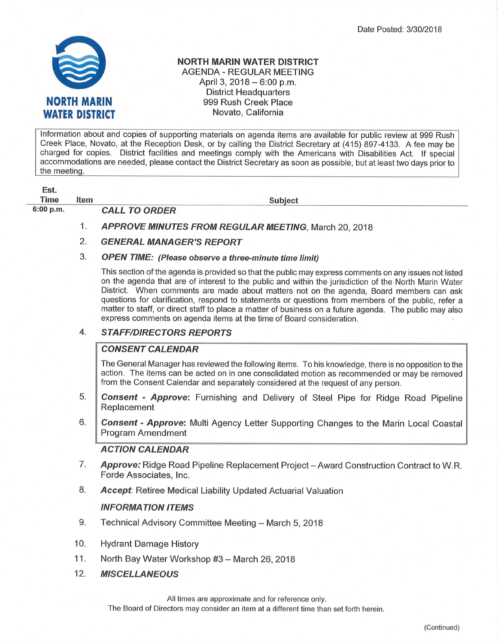

### NORTH MARIN WATER DISTRICT AGENDA - REGULAR MEETING April 3,  $2018 - 6:00$  p.m. District Headquarters 999 Rush Creek Place Novato, California

lnformation about and copies of supporting materials on agenda items are available for public review at 999 Rush Creek Place, Novato, at the Reception Desk, or by calling the District Secretary at (415) 897-4133. A fee may be charged for copies. District facilities and meetings comply with the Americans with Disabilities Act. lf special accommodations are needed, please contact the District Secretary as soon as possible, but at least two days prior to the meeting.

Est. Time Item

Subiect

6:00 p.m. CALL TO ORDER

- 1. APPROVE MINUTES FROM REGULAR MEETING, March 20, 2018
- 2. GENERAL MANAGER'S REPORT
- 3. OPEN TIME: (Please observe a three-minute time limìt)

This section of the agenda is provided so that the public may express comments on any issues not listed on the agenda that are of interest to the public and within the jurisdiction of the North Marin Water District. When comments are made about matters not on the agenda, Board members can ask questions for clarification, respond to statements or questions from members of the public, refer a matter to staff, or direct staff to place a matter of business on a future agenda. The public may also express comments on agenda items at the time of Board consideration.

### **STAFF/DIRECTORS REPORTS** 4.

# **CONSENT CALENDAR**

The General Manager has reviewed the following items. To his knowledge, there is no opposition to the action. The items can be acted on in one consolidated motion as recommended or may be removed from the Consent Calendar and separately considered at the request of any person.

- **Consent Approve:** Furnishing and Delivery of Steel Pipe for Ridge Road Pipeline Replacement 5.
- **Consent Approve:** Multi Agency Letter Supporting Changes to the Marin Local Coastal Program Amendment 6.

# ACTION CALENDAR

- Approve: Ridge Road Pipeline Replacement Project Award Construction Contract to W.R. Forde Associates, lnc. 7
- **Accept:** Retiree Medical Liability Updated Actuarial Valuation 8.

# INFORMATION ITEMS

- Technical Advisory Committee Meeting March 5, 2018  $9.$
- 10. Hydrant Damage History
- 11. North Bay Water Workshop #3 - March 26, 2018
- 12. **MISCELLANEOUS**

All times are approximate and for reference only.

The Board of Directors may consider an item at a different time than set forth herein